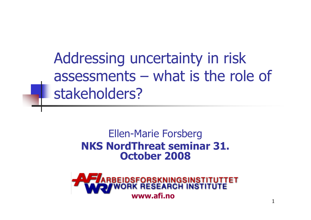Addressing uncertainty in risk assessments – what is the role of stakeholders?

#### Ellen-Marie Forsberg NKS NordThreat seminar 31. October <sup>2008</sup>

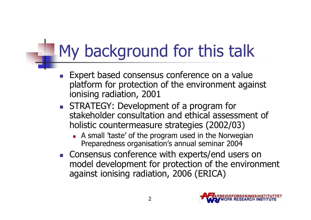# My background for this talk

- m. Expert based consensus conference on a value platform for protection of the environment against ionising radiation, 2001
- × **STRATEGY:** Development of a program for stakeholder consultation and ethical assessment of holistic countermeasure strategies (2002/03)
	- П A small 'taste' of the program used in the Norwegian<br>Preparedness organisation's annual seminar 2004 Preparedness organisation's annual seminar 2004
- × **Consensus conference with experts/end users on** model development for protection of the environmentagainst ionising radiation, 2006 (ERICA)

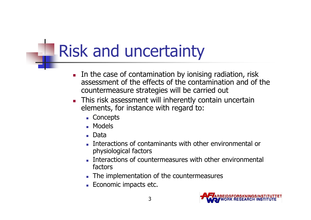# Risk and uncertainty

- L. In the case of contamination by ionising radiation, risk assessment of the effects of the contamination and of the countermeasure strategies will be carried out
- L. **This risk assessment will inherently contain uncertain** elements, for instance with regard to:
	- Concepts
	- Models
	- Data
	- Interactions of contaminants with other environmental or physiological factors
	- Interactions of countermeasures with other environmental factors
	- The implementation of the countermeasures
	- **Economic impacts etc.**

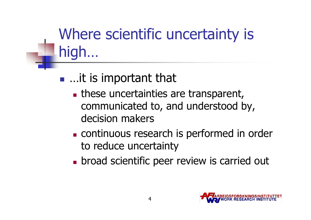## Where scientific uncertainty is high…

#### **STATE** ■ …it is important that

- **In these uncertainties are transparent,** communicated to, and understood by, decision makers
- M. **Exercise 1** continuous research is performed in order to reduce uncertainty
- П **Exercise 1 broad scientific peer review is carried out**

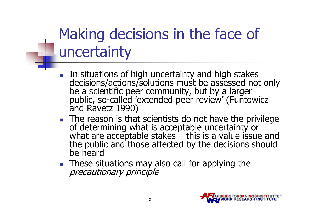## Making decisions in the face of uncertainty

- In situations of high uncertainty and high stakes decisions/actions/solutions must be assessed not only be a scientific peer community, but by a larger public, so-called 'extended peer review' (Funtowicz and Ravetz 1990)
- The reason is that scientists do not have the privilege of determining what is acceptable uncertainty or what are acceptable stakes – this is a value issue and the public and those affected by the decisions should be heard
- $\blacksquare$  These s These situations may also call for applying the precautionary principle

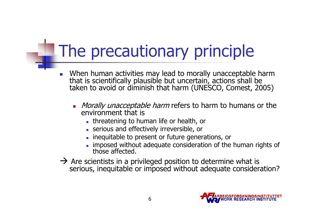# The precautionary principle

- $\mathcal{C}^{\mathcal{A}}$  When human activities may lead to morally unacceptable harm that is scientifically plausible but uncertain, actions shall be taken to avoid or diminish that harm (UNESCO, Comest, 2005)
	- П Morally unacceptable harm refers to harm to humans or the environment that is environment that is
		- threatening to human life or health, or
		- serious and effectively irreversible, or
		- **inequitable to present or future generations, or**
		- imposed without adequate consideration of the human rights of those affected.
- → Are scientists in a privileged position to determine what is serious, inequitable or imposed without adequate considera serious, inequitable or imposed without adequate consideration?

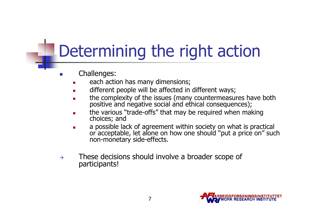# Determining the right action

- $\sim$  Challenges:
	- П each action has many dimensions;
	- L different people will be affected in different ways;
	- ▉ the complexity of the issues (many countermeasures have both positive and negative social and ethical consequences);
	- **the various "trade-offs" that may be required when making choices; and** П
	- a possible lack of agreement within society on what is practical L or acceptable, let alone on how one should "put a price on" such non-monetary side-effects.
- $\rightarrow$  These decisions should involve a broader scope of participants!

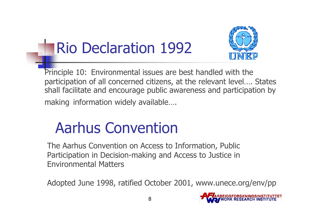## Rio Declaration 1992



Principle 10: Environmental issues are best handled with the participation of all concerned citizens, at the relevant level…. States shall facilitate and encourage public awareness and participation by making information widely available….

#### Aarhus Convention

The Aarhus Convention on Access to Information, Public Participation in Decision-making and Access to Justice in Environmental Matters

Adopted June 1998, ratified October 2001, www.unece.org/env/pp

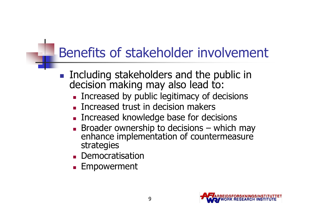#### Benefits of stakeholder involvement

- $\mathcal{L}_{\text{max}}$  Including stakeholders and the public in decision making may also lead to:
	- n. **Exercised by public legitimacy of decisions**
	- n. **Increased trust in decision makers**
	- n. **Increased knowledge base for decisions**
	- n. enhance implementation of countermeasure strategies
	- n. **Democratisation**
	- n. **Empowerment**

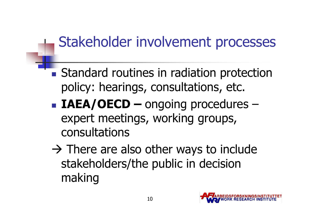#### Stakeholder involvement processes

- **STATE Standard routines in radiation protection** policy: hearings, consultations, etc.
- **STATE** ■ IAEA/OECD – ongoing procedures – expert meetings, working groups, consultations
- There are also other ways to include<br>stakeholders/the nublic in decision stakeholders/the public in decision making

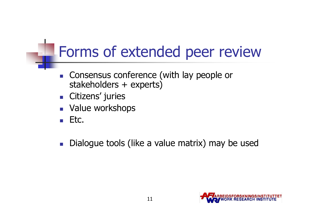### Forms of extended peer review

- $\mathcal{L}_{\text{max}}$  Consensus conference (with lay people or stakeholders + experts)
- × **-** Citizens' juries<br>- Value werkshe
- H. **Nalue workshops**
- m. Etc.
- $\mathcal{C}^{\mathcal{A}}$ Dialogue tools (like a value matrix) may be used

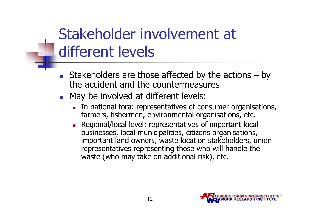### Stakeholder involvement at different levels

- m. Stakeholders are those affected by the actions  $-$  by the accident and the countermeasures the accident and the countermeasures
- × **Nay be involved at different levels:** 
	- П In national fora: representatives of consumer organisations, farmers, fishermen, environmental organisations, etc.
	- П **Regional/local level: representatives of important local** businesses, local municipalities, citizens organisations, important land owners, waste location stakeholders, union representatives representing those who will handle the waste (who may take on additional risk), etc.

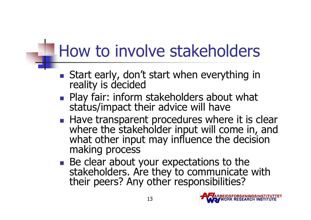## How to involve stakeholders

- $\mathcal{O}(\mathcal{O})$ Start early, don't start when everything in reality is decided
- Plav fair: inform **Play fair: inform stakeholders about what** status/impact their advice will have
- Have transparent procedures where ■ Have transparent procedures where it is clear where the stakeholder input will come in, and what other input may influence the decision making process
- r.  $\blacksquare$  Be clear about your expectations to the stakeholders. Are they to communicate with their peers? Any other responsibilities?

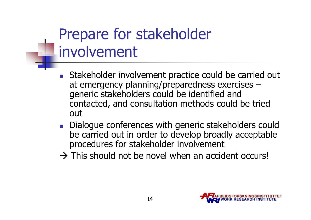## Prepare for stakeholder involvement

- m. Stakeholder involvement practice could be carried out at emergency planning/preparedness exercises –generic stakeholders could be identified and contacted, and consultation methods could be tried out
- × Dialogue conferences with generic stakeholders could be carried out in order to develop broadly acceptable procedures for stakeholder involvement
- This should not be novel when an accident occurs!